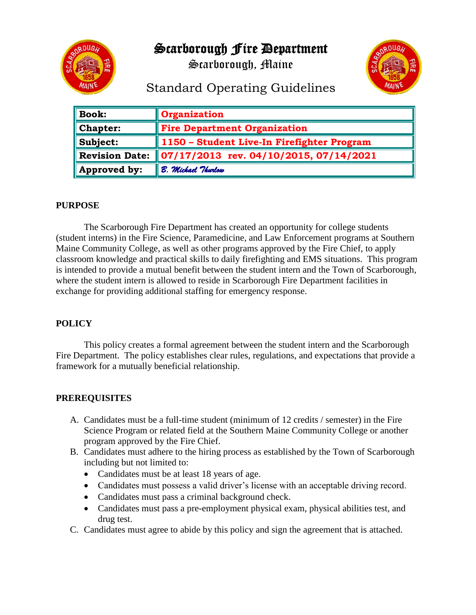Scarborough Fire Department



Scarborough, Maine



# Standard Operating Guidelines

| <b>Book:</b>          | <b>Organization</b>                                |
|-----------------------|----------------------------------------------------|
| <b>Chapter:</b>       | <b>Fire Department Organization</b>                |
| Subject:              | 1150 - Student Live-In Firefighter Program         |
| <b>Revision Date:</b> | $\parallel$ 07/17/2013 rev. 04/10/2015, 07/14/2021 |
| Approved by:          | B. Michael Thurlow                                 |

#### **PURPOSE**

The Scarborough Fire Department has created an opportunity for college students (student interns) in the Fire Science, Paramedicine, and Law Enforcement programs at Southern Maine Community College, as well as other programs approved by the Fire Chief, to apply classroom knowledge and practical skills to daily firefighting and EMS situations. This program is intended to provide a mutual benefit between the student intern and the Town of Scarborough, where the student intern is allowed to reside in Scarborough Fire Department facilities in exchange for providing additional staffing for emergency response.

#### **POLICY**

This policy creates a formal agreement between the student intern and the Scarborough Fire Department. The policy establishes clear rules, regulations, and expectations that provide a framework for a mutually beneficial relationship.

#### **PREREQUISITES**

- A. Candidates must be a full-time student (minimum of 12 credits / semester) in the Fire Science Program or related field at the Southern Maine Community College or another program approved by the Fire Chief.
- B. Candidates must adhere to the hiring process as established by the Town of Scarborough including but not limited to:
	- Candidates must be at least 18 years of age.
	- Candidates must possess a valid driver's license with an acceptable driving record.
	- Candidates must pass a criminal background check.
	- Candidates must pass a pre-employment physical exam, physical abilities test, and drug test.
- C. Candidates must agree to abide by this policy and sign the agreement that is attached.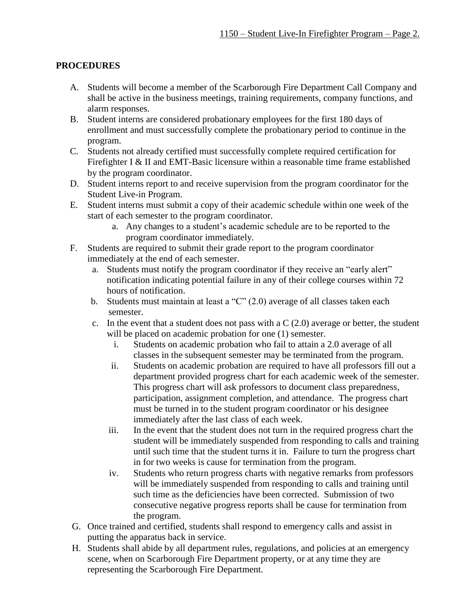### **PROCEDURES**

- A. Students will become a member of the Scarborough Fire Department Call Company and shall be active in the business meetings, training requirements, company functions, and alarm responses.
- B. Student interns are considered probationary employees for the first 180 days of enrollment and must successfully complete the probationary period to continue in the program.
- C. Students not already certified must successfully complete required certification for Firefighter I & II and EMT-Basic licensure within a reasonable time frame established by the program coordinator.
- D. Student interns report to and receive supervision from the program coordinator for the Student Live-in Program.
- E. Student interns must submit a copy of their academic schedule within one week of the start of each semester to the program coordinator.
	- a. Any changes to a student's academic schedule are to be reported to the program coordinator immediately.
- F. Students are required to submit their grade report to the program coordinator immediately at the end of each semester.
	- a. Students must notify the program coordinator if they receive an "early alert" notification indicating potential failure in any of their college courses within 72 hours of notification.
	- b. Students must maintain at least a "C" (2.0) average of all classes taken each semester.
	- c. In the event that a student does not pass with a  $C(2.0)$  average or better, the student will be placed on academic probation for one  $(1)$  semester.
		- i. Students on academic probation who fail to attain a 2.0 average of all classes in the subsequent semester may be terminated from the program.
		- ii. Students on academic probation are required to have all professors fill out a department provided progress chart for each academic week of the semester. This progress chart will ask professors to document class preparedness, participation, assignment completion, and attendance. The progress chart must be turned in to the student program coordinator or his designee immediately after the last class of each week.
		- iii. In the event that the student does not turn in the required progress chart the student will be immediately suspended from responding to calls and training until such time that the student turns it in. Failure to turn the progress chart in for two weeks is cause for termination from the program.
		- iv. Students who return progress charts with negative remarks from professors will be immediately suspended from responding to calls and training until such time as the deficiencies have been corrected. Submission of two consecutive negative progress reports shall be cause for termination from the program.
- G. Once trained and certified, students shall respond to emergency calls and assist in putting the apparatus back in service.
- H. Students shall abide by all department rules, regulations, and policies at an emergency scene, when on Scarborough Fire Department property, or at any time they are representing the Scarborough Fire Department.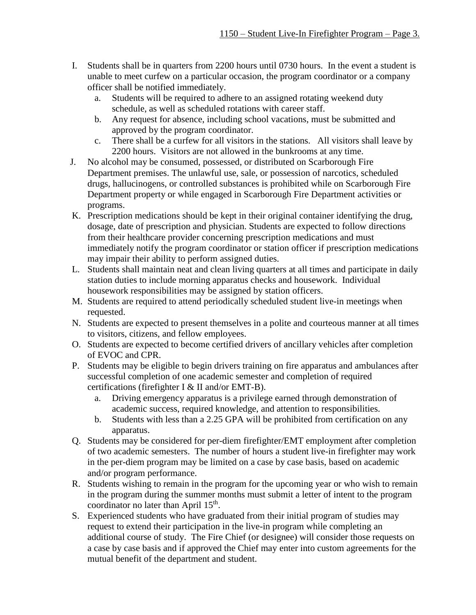- I. Students shall be in quarters from 2200 hours until 0730 hours. In the event a student is unable to meet curfew on a particular occasion, the program coordinator or a company officer shall be notified immediately.
	- a. Students will be required to adhere to an assigned rotating weekend duty schedule, as well as scheduled rotations with career staff.
	- b. Any request for absence, including school vacations, must be submitted and approved by the program coordinator.
	- c. There shall be a curfew for all visitors in the stations. All visitors shall leave by 2200 hours. Visitors are not allowed in the bunkrooms at any time.
- J. No alcohol may be consumed, possessed, or distributed on Scarborough Fire Department premises. The unlawful use, sale, or possession of narcotics, scheduled drugs, hallucinogens, or controlled substances is prohibited while on Scarborough Fire Department property or while engaged in Scarborough Fire Department activities or programs.
- K. Prescription medications should be kept in their original container identifying the drug, dosage, date of prescription and physician. Students are expected to follow directions from their healthcare provider concerning prescription medications and must immediately notify the program coordinator or station officer if prescription medications may impair their ability to perform assigned duties.
- L. Students shall maintain neat and clean living quarters at all times and participate in daily station duties to include morning apparatus checks and housework. Individual housework responsibilities may be assigned by station officers.
- M. Students are required to attend periodically scheduled student live-in meetings when requested.
- N. Students are expected to present themselves in a polite and courteous manner at all times to visitors, citizens, and fellow employees.
- O. Students are expected to become certified drivers of ancillary vehicles after completion of EVOC and CPR.
- P. Students may be eligible to begin drivers training on fire apparatus and ambulances after successful completion of one academic semester and completion of required certifications (firefighter I & II and/or EMT-B).
	- a. Driving emergency apparatus is a privilege earned through demonstration of academic success, required knowledge, and attention to responsibilities.
	- b. Students with less than a 2.25 GPA will be prohibited from certification on any apparatus.
- Q. Students may be considered for per-diem firefighter/EMT employment after completion of two academic semesters. The number of hours a student live-in firefighter may work in the per-diem program may be limited on a case by case basis, based on academic and/or program performance.
- R. Students wishing to remain in the program for the upcoming year or who wish to remain in the program during the summer months must submit a letter of intent to the program coordinator no later than April 15<sup>th</sup>.
- S. Experienced students who have graduated from their initial program of studies may request to extend their participation in the live-in program while completing an additional course of study. The Fire Chief (or designee) will consider those requests on a case by case basis and if approved the Chief may enter into custom agreements for the mutual benefit of the department and student.